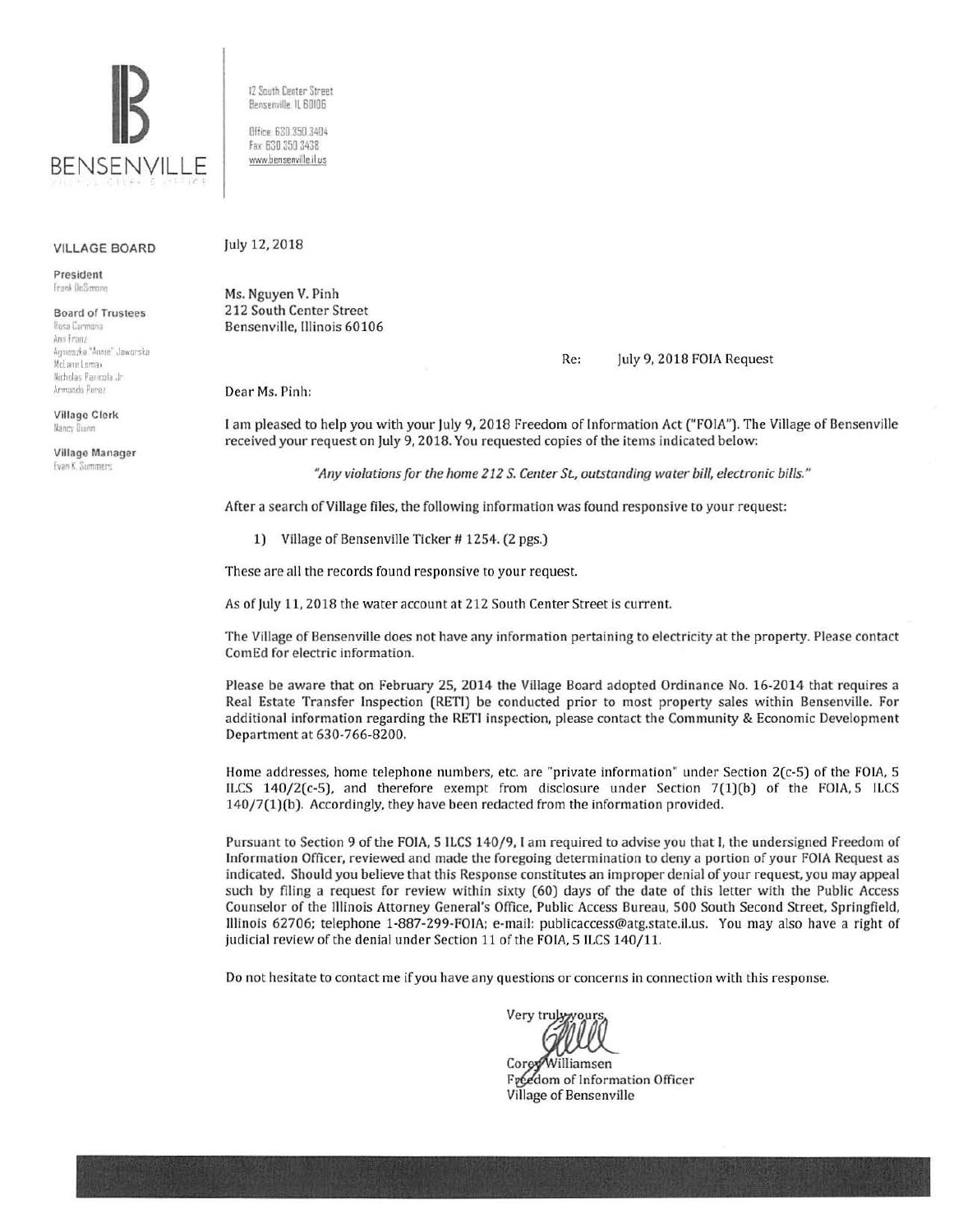

12 South Center Street Bensenville. IL 60106 Office: 630 350 3404

fax 630 350 3438 www.bensenville.il.us

## VILLAGE BOARD

President **Frank DeSimone** 

Board of Trustees Rosa Carmona Ann Franz Aqmeszka "Annie" Jawarska McLane Lomax Nicholas Panicela Jr. Armando Perez

Village Clerk **UJnc; :luinn** 

Village Manager **Evan K. Summers** 

July 12, 2018

Ms. Nguyen V. Pinh 212 South Center Street Bensenville, Illinois 60106

Re: July 9, 2018 FOIA Request

Dear Ms. Pinh:

I am pleased to help you with your July 9, 2018 Freedom of Information Act ("FOIA"). The Village of Bensenville received your request on July 9, 2018. You requested copies of the items indicated below:

*"Any violations for tile home 212 S. Center* St, *outstanding water bill, electronic bills."* 

Arter a search of Village files, the following information was found responsive to your request:

1) Village of Bensenville Ticker # 1254. (2 pgs.)

These are all the records found responsive to your request.

As of July 11, 2018 the water account at 212 South Center Street is current.

The Village of Bensenville does not have any information pertaining to electricity at the property. Please contact Com Ed for electric information.

Please be aware that on February 25, 2014 the Village Board adopted Ordinance No. 16-2014 that requires a Real Estate Transfer Inspection (RETI) be conducted prior to most property sales within Bensenville. For additional information regarding the RETI inspection, please contact the Community & Economic Development Department at 630-766-8200.

Home addresses, home telephone numbers, etc. are "private information" under Section 2(c-S) of the FOIA, S ILCS 140/2(c-5), and therefore exempt from disclosure under Section 7(1)(b) of the FOIA, S ILCS 140/7(1)(b). Accordingly, they have been redacted from the information provided.

Pursuant to Section 9 of the FOIA, S ILCS 140/9, I am required to advise you that I, the undersigned Freedom of Information Officer, reviewed and made the foregoing determination to deny a portion of your FOIA Request as indicated. Should you believe that this Response constitutes an improper denial of your request, you may appeal such by filing a request for review within sixty (60) days of the date of this letter with the Public Access Counselor of the Illinois Attorney General's Office, Public Access Bureau, 500 South Second Street, Springfield, Illinois 62706; telephone 1-887-299-FOIA; e-mail: publicaccess@atg.state.il.us. You may also have a right of judicial review of the denial under Section 11 of the FOIA, 5 ILCS 140/11.

Do not hesitate to contact me if you have any questions or concerns in connection with this response.

Very tru

Core Williamsen Freedom of Information Officer Village of Bensenville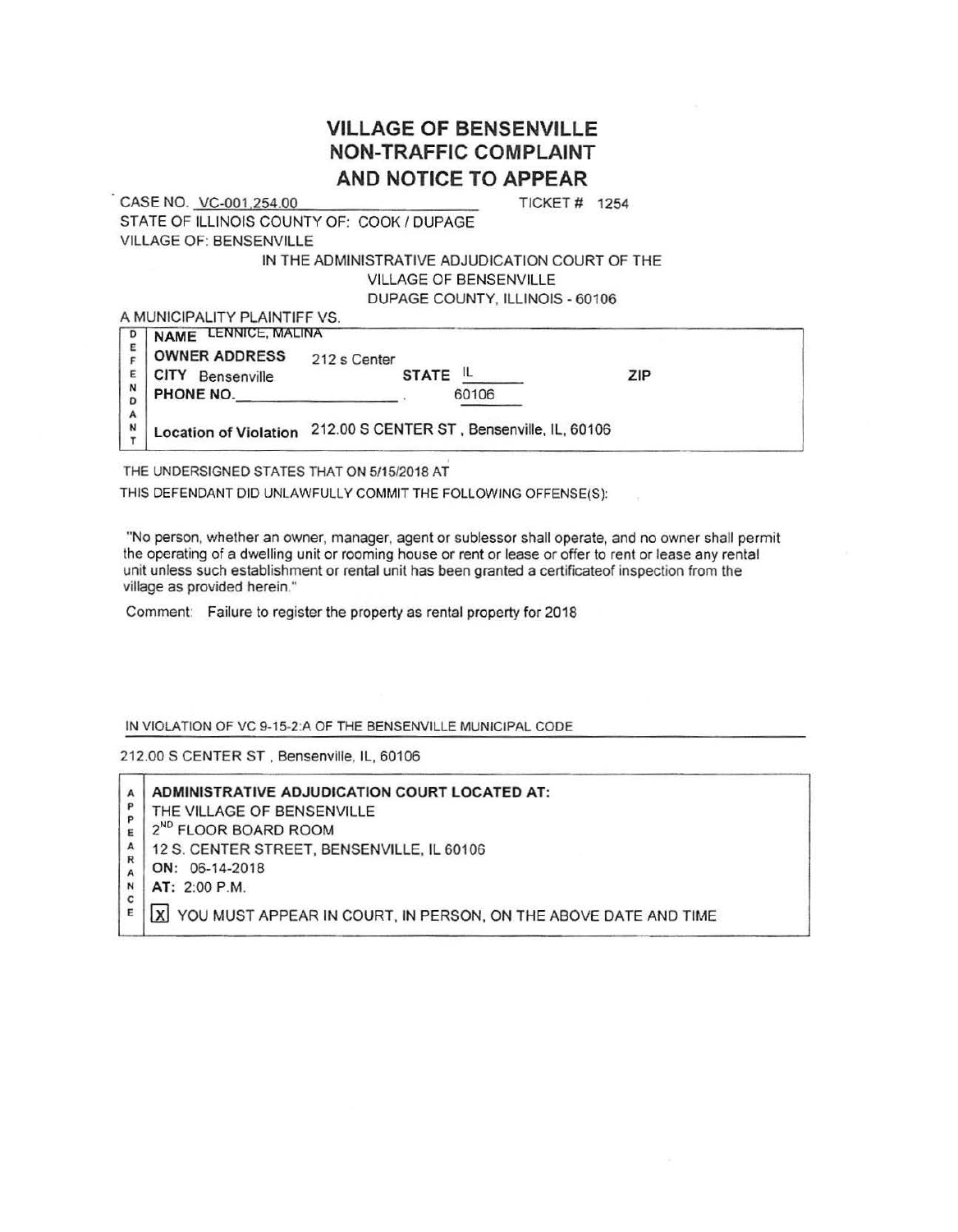## **VILLAGE OF BENSENVILLE NON-TRAFFIC COMPLAINT AND NOTICE TO APPEAR**

CASE NO. VC-001 254.00 TICKET# 1254 STATE OF ILLINOIS COUNTY OF: COOK / DUPAGE VILLAGE OF: BENSENVILLE

## IN THE ADMINISTRATIVE ADJUDICATION COURT OF THE VILLAGE OF BENSENVILLE DUPAGE COUNTY, ILLINOIS - 60106

A MUNICIPALITY PLAINTIFF VS.

| D      | NAME LENNICE, MALINA       |                                                                  |              |       |  |     |  |
|--------|----------------------------|------------------------------------------------------------------|--------------|-------|--|-----|--|
| Е      | <b>OWNER ADDRESS</b>       | 212 s Center                                                     |              |       |  |     |  |
|        | <b>CITY</b><br>Bensenville |                                                                  | <b>STATE</b> |       |  | ZIP |  |
| N<br>D | PHONE NO.                  |                                                                  |              | 60106 |  |     |  |
| А<br>N |                            | Location of Violation 212.00 S CENTER ST, Bensenville, IL, 60106 |              |       |  |     |  |

THE UNDERSIGNED STATES THAT ON 5115/2018 AT

THIS DEFENDANT DID UNLAWFULLY COMMIT THE FOLLOWING OFFENSE(S):

"No person, whether an owner, manager, agent or sublessor shall operate, and no owner shall permit the operating of a dwelling unit or rooming house or rent or lease or offer to rent or lease any rental unit unless such establishment or rental unit has been granted a certificateof inspection from the village as provided herein."

Comment: Failure to register the property as rental property for 2018

IN VIOLATION OF VC 9-15-2:A OF THE BENSENVILLE MUNICIPAL CODE

212.00 S CENTER ST . Bensenville, IL, 60106

|        | ADMINISTRATIVE ADJUDICATION COURT LOCATED AT:                   |
|--------|-----------------------------------------------------------------|
| P      | THE VILLAGE OF BENSENVILLE                                      |
| P      | 2 <sup>ND</sup> FLOOR BOARD ROOM                                |
|        | 12 S. CENTER STREET, BENSENVILLE, IL 60106                      |
| R      | ON: 06-14-2018                                                  |
|        | AT: 2:00 P.M.                                                   |
| с<br>E | YOU MUST APPEAR IN COURT, IN PERSON, ON THE ABOVE DATE AND TIME |
|        |                                                                 |